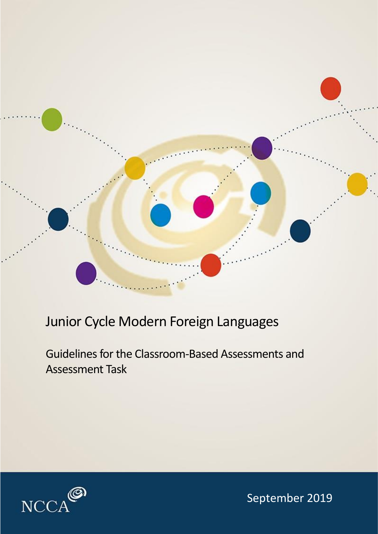

## Junior Cycle Modern Foreign Languages

Guidelines for the Classroom-Based Assessments and Assessment Task



September 2019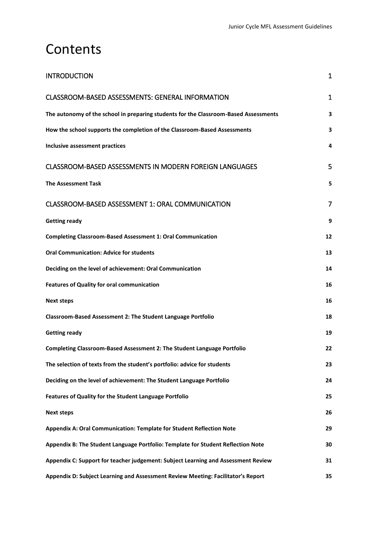## **Contents**

| <b>INTRODUCTION</b>                                                                  | $\mathbf 1$    |
|--------------------------------------------------------------------------------------|----------------|
| <b>CLASSROOM-BASED ASSESSMENTS: GENERAL INFORMATION</b>                              | $\mathbf{1}$   |
| The autonomy of the school in preparing students for the Classroom-Based Assessments | 3              |
| How the school supports the completion of the Classroom-Based Assessments            | 3              |
| <b>Inclusive assessment practices</b>                                                | 4              |
| <b>CLASSROOM-BASED ASSESSMENTS IN MODERN FOREIGN LANGUAGES</b>                       | 5              |
| <b>The Assessment Task</b>                                                           | 5              |
| CLASSROOM-BASED ASSESSMENT 1: ORAL COMMUNICATION                                     | $\overline{7}$ |
| <b>Getting ready</b>                                                                 | 9              |
| <b>Completing Classroom-Based Assessment 1: Oral Communication</b>                   | 12             |
| <b>Oral Communication: Advice for students</b>                                       | 13             |
| Deciding on the level of achievement: Oral Communication                             | 14             |
| <b>Features of Quality for oral communication</b>                                    | 16             |
| <b>Next steps</b>                                                                    | 16             |
| Classroom-Based Assessment 2: The Student Language Portfolio                         | 18             |
| <b>Getting ready</b>                                                                 | 19             |
| Completing Classroom-Based Assessment 2: The Student Language Portfolio              | 22             |
| The selection of texts from the student's portfolio: advice for students             | 23             |
| Deciding on the level of achievement: The Student Language Portfolio                 | 24             |
| Features of Quality for the Student Language Portfolio                               | 25             |
| <b>Next steps</b>                                                                    | 26             |
| Appendix A: Oral Communication: Template for Student Reflection Note                 | 29             |
| Appendix B: The Student Language Portfolio: Template for Student Reflection Note     | 30             |
| Appendix C: Support for teacher judgement: Subject Learning and Assessment Review    | 31             |
| Appendix D: Subject Learning and Assessment Review Meeting: Facilitator's Report     | 35             |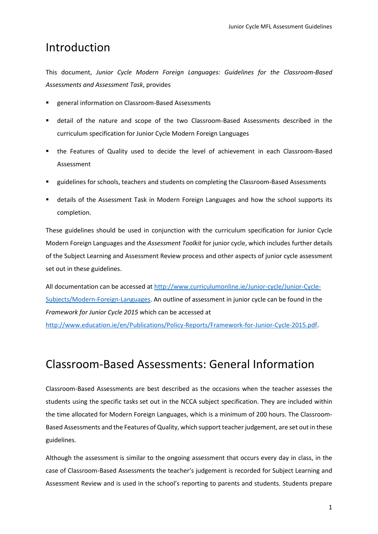## Introduction

This document, *Junior Cycle Modern Foreign Languages: Guidelines for the Classroom-Based Assessments and Assessment Task*, provides

- general information on Classroom-Based Assessments
- detail of the nature and scope of the two Classroom-Based Assessments described in the curriculum specification for Junior Cycle Modern Foreign Languages
- the Features of Quality used to decide the level of achievement in each Classroom-Based Assessment
- guidelines for schools, teachers and students on completing the Classroom-Based Assessments
- details of the Assessment Task in Modern Foreign Languages and how the school supports its completion.

These guidelines should be used in conjunction with the curriculum specification for Junior Cycle Modern Foreign Languages and the *Assessment Toolkit* for junior cycle, which includes further details of the Subject Learning and Assessment Review process and other aspects of junior cycle assessment set out in these guidelines.

All documentation can be accessed at [http://www.curriculumonline.ie/Junior-cycle/Junior-Cycle-](http://www.curriculumonline.ie/Junior-cycle/Junior-Cycle-Subjects/Modern-Foreign-Languages)[Subjects/Modern-Foreign-Languages.](http://www.curriculumonline.ie/Junior-cycle/Junior-Cycle-Subjects/Modern-Foreign-Languages) An outline of assessment in junior cycle can be found in the *Framework for Junior Cycle 2015* which can be accessed at

[http://www.education.ie/en/Publications/Policy-Reports/Framework-for-Junior-Cycle-2015.pdf.](http://www.education.ie/en/Publications/Policy-Reports/Framework-for-Junior-Cycle-2015.pdf)

## Classroom-Based Assessments: General Information

Classroom-Based Assessments are best described as the occasions when the teacher assesses the students using the specific tasks set out in the NCCA subject specification. They are included within the time allocated for Modern Foreign Languages, which is a minimum of 200 hours. The Classroom-Based Assessments and the Features of Quality, which support teacher judgement, are set out in these guidelines.

Although the assessment is similar to the ongoing assessment that occurs every day in class, in the case of Classroom-Based Assessments the teacher's judgement is recorded for Subject Learning and Assessment Review and is used in the school's reporting to parents and students. Students prepare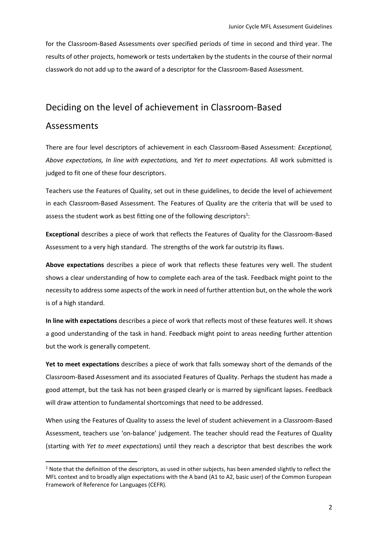for the Classroom-Based Assessments over specified periods of time in second and third year. The results of other projects, homework or tests undertaken by the students in the course of their normal classwork do not add up to the award of a descriptor for the Classroom-Based Assessment.

#### Deciding on the level of achievement in Classroom-Based

#### Assessments

**.** 

There are four level descriptors of achievement in each Classroom-Based Assessment: *Exceptional, Above expectations, In line with expectations,* and *Yet to meet expectations.* All work submitted is judged to fit one of these four descriptors.

Teachers use the Features of Quality, set out in these guidelines, to decide the level of achievement in each Classroom-Based Assessment. The Features of Quality are the criteria that will be used to assess the student work as best fitting one of the following descriptors<sup>1</sup>:

**Exceptional** describes a piece of work that reflects the Features of Quality for the Classroom-Based Assessment to a very high standard. The strengths of the work far outstrip its flaws.

**Above expectations** describes a piece of work that reflects these features very well. The student shows a clear understanding of how to complete each area of the task. Feedback might point to the necessity to address some aspects of the work in need of further attention but, on the whole the work is of a high standard.

**In line with expectations** describes a piece of work that reflects most of these features well. It shows a good understanding of the task in hand. Feedback might point to areas needing further attention but the work is generally competent.

**Yet to meet expectations** describes a piece of work that falls someway short of the demands of the Classroom-Based Assessment and its associated Features of Quality. Perhaps the student has made a good attempt, but the task has not been grasped clearly or is marred by significant lapses. Feedback will draw attention to fundamental shortcomings that need to be addressed.

When using the Features of Quality to assess the level of student achievement in a Classroom-Based Assessment, teachers use 'on-balance' judgement. The teacher should read the Features of Quality (starting with *Yet to meet expectations*) until they reach a descriptor that best describes the work

<sup>&</sup>lt;sup>1</sup> Note that the definition of the descriptors, as used in other subjects, has been amended slightly to reflect the MFL context and to broadly align expectations with the A band (A1 to A2, basic user) of the Common European Framework of Reference for Languages (CEFR).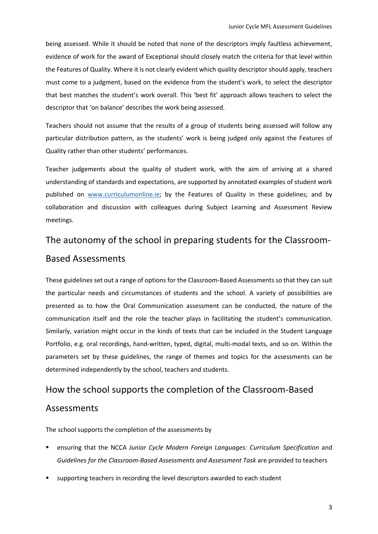being assessed. While it should be noted that none of the descriptors imply faultless achievement, evidence of work for the award of Exceptional should closely match the criteria for that level within the Features of Quality. Where it is not clearly evident which quality descriptor should apply, teachers must come to a judgment, based on the evidence from the student's work, to select the descriptor that best matches the student's work overall. This 'best fit' approach allows teachers to select the descriptor that 'on balance' describes the work being assessed.

Teachers should not assume that the results of a group of students being assessed will follow any particular distribution pattern, as the students' work is being judged only against the Features of Quality rather than other students' performances.

Teacher judgements about the quality of student work, with the aim of arriving at a shared understanding of standards and expectations, are supported by annotated examples of student work published on [www.curriculumonline.ie;](https://www.curriculumonline.ie/Junior-cycle/Junior-Cycle-Subjects/Modern-Foreign-Languages) by the Features of Quality in these guidelines; and by collaboration and discussion with colleagues during Subject Learning and Assessment Review meetings.

## The autonomy of the school in preparing students for the Classroom-Based Assessments

These guidelines set out a range of options for the Classroom-Based Assessments so that they can suit the particular needs and circumstances of students and the school. A variety of possibilities are presented as to how the Oral Communication assessment can be conducted, the nature of the communication itself and the role the teacher plays in facilitating the student's communication. Similarly, variation might occur in the kinds of texts that can be included in the Student Language Portfolio, e.g. oral recordings, hand-written, typed, digital, multi-modal texts, and so on. Within the parameters set by these guidelines, the range of themes and topics for the assessments can be determined independently by the school, teachers and students.

### How the school supports the completion of the Classroom-Based

### Assessments

The school supports the completion of the assessments by

- ensuring that the NCCA Junior Cycle Modern Foreign Languages: Curriculum Specification and *Guidelines for the Classroom-Based Assessments and Assessment Task* are provided to teachers
- supporting teachers in recording the level descriptors awarded to each student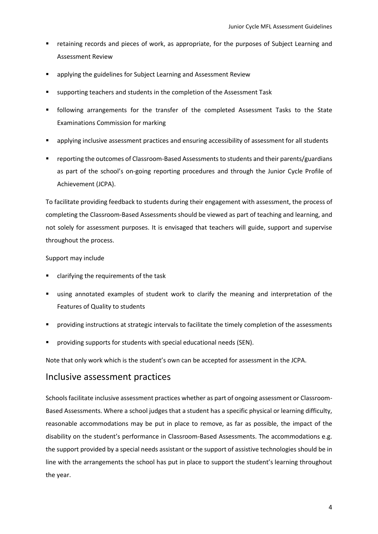- retaining records and pieces of work, as appropriate, for the purposes of Subject Learning and Assessment Review
- applying the guidelines for Subject Learning and Assessment Review
- supporting teachers and students in the completion of the Assessment Task
- following arrangements for the transfer of the completed Assessment Tasks to the State Examinations Commission for marking
- applying inclusive assessment practices and ensuring accessibility of assessment for all students
- reporting the outcomes of Classroom-Based Assessments to students and their parents/guardians as part of the school's on-going reporting procedures and through the Junior Cycle Profile of Achievement (JCPA).

To facilitate providing feedback to students during their engagement with assessment, the process of completing the Classroom-Based Assessments should be viewed as part of teaching and learning, and not solely for assessment purposes. It is envisaged that teachers will guide, support and supervise throughout the process.

#### Support may include

- clarifying the requirements of the task
- using annotated examples of student work to clarify the meaning and interpretation of the Features of Quality to students
- providing instructions at strategic intervals to facilitate the timely completion of the assessments
- providing supports for students with special educational needs (SEN).

Note that only work which is the student's own can be accepted for assessment in the JCPA.

#### Inclusive assessment practices

Schools facilitate inclusive assessment practices whether as part of ongoing assessment or Classroom-Based Assessments. Where a school judges that a student has a specific physical or learning difficulty, reasonable accommodations may be put in place to remove, as far as possible, the impact of the disability on the student's performance in Classroom-Based Assessments. The accommodations e.g. the support provided by a special needs assistant or the support of assistive technologies should be in line with the arrangements the school has put in place to support the student's learning throughout the year.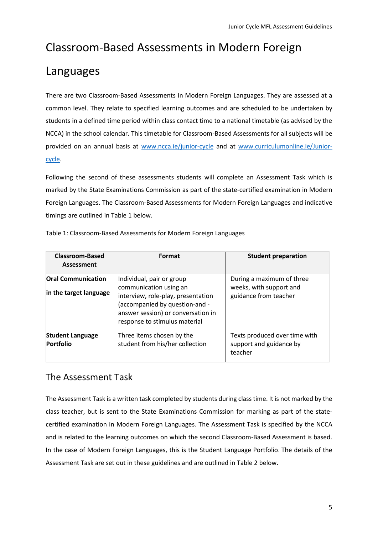## Classroom-Based Assessments in Modern Foreign

## Languages

There are two Classroom-Based Assessments in Modern Foreign Languages. They are assessed at a common level. They relate to specified learning outcomes and are scheduled to be undertaken by students in a defined time period within class contact time to a national timetable (as advised by the NCCA) in the school calendar. This timetable for Classroom-Based Assessments for all subjects will be provided on an annual basis at [www.ncca.ie/junior-cycle](http://www.ncca.ie/junior-cycle) and at [www.curriculumonline.ie/Junior](http://www.curriculumonline.ie/Junior-cycle)[cycle.](http://www.curriculumonline.ie/Junior-cycle)

Following the second of these assessments students will complete an Assessment Task which is marked by the State Examinations Commission as part of the state-certified examination in Modern Foreign Languages. The Classroom-Based Assessments for Modern Foreign Languages and indicative timings are outlined in Table 1 below.

| <b>Classroom-Based</b><br><b>Assessment</b>         | Format                                                                                                                                                                                             | <b>Student preparation</b>                                                    |
|-----------------------------------------------------|----------------------------------------------------------------------------------------------------------------------------------------------------------------------------------------------------|-------------------------------------------------------------------------------|
| <b>Oral Communication</b><br>in the target language | Individual, pair or group<br>communication using an<br>interview, role-play, presentation<br>(accompanied by question-and -<br>answer session) or conversation in<br>response to stimulus material | During a maximum of three<br>weeks, with support and<br>guidance from teacher |
| <b>Student Language</b><br><b>Portfolio</b>         | Three items chosen by the<br>student from his/her collection                                                                                                                                       | Texts produced over time with<br>support and guidance by<br>teacher           |

Table 1: Classroom-Based Assessments for Modern Foreign Languages

### The Assessment Task

The Assessment Task is a written task completed by students during class time. It is not marked by the class teacher, but is sent to the State Examinations Commission for marking as part of the statecertified examination in Modern Foreign Languages. The Assessment Task is specified by the NCCA and is related to the learning outcomes on which the second Classroom-Based Assessment is based. In the case of Modern Foreign Languages, this is the Student Language Portfolio. The details of the Assessment Task are set out in these guidelines and are outlined in Table 2 below.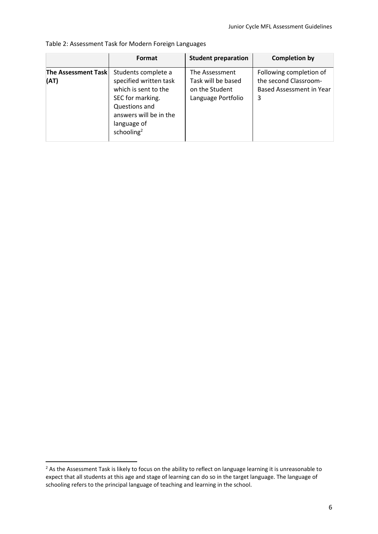|                                    | Format                                                                                                                                                                        | <b>Student preparation</b>                                                   | <b>Completion by</b>                                                              |
|------------------------------------|-------------------------------------------------------------------------------------------------------------------------------------------------------------------------------|------------------------------------------------------------------------------|-----------------------------------------------------------------------------------|
| <b>The Assessment Task</b><br>(AT) | Students complete a<br>specified written task<br>which is sent to the<br>SEC for marking.<br>Questions and<br>answers will be in the<br>language of<br>schooling <sup>2</sup> | The Assessment<br>Task will be based<br>on the Student<br>Language Portfolio | Following completion of<br>the second Classroom-<br>Based Assessment in Year<br>3 |

Table 2: Assessment Task for Modern Foreign Languages

**.** 

<sup>&</sup>lt;sup>2</sup> As the Assessment Task is likely to focus on the ability to reflect on language learning it is unreasonable to expect that all students at this age and stage of learning can do so in the target language. The language of schooling refers to the principal language of teaching and learning in the school.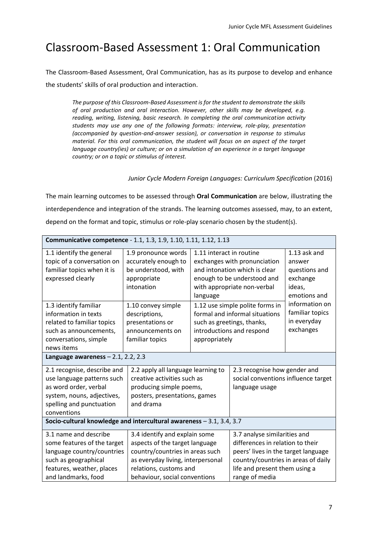## Classroom-Based Assessment 1: Oral Communication

The Classroom-Based Assessment, Oral Communication, has as its purpose to develop and enhance the students' skills of oral production and interaction.

*The purpose of this Classroom-Based Assessment is for the student to demonstrate the skills of oral production and oral interaction. However, other skills may be developed, e.g. reading, writing, listening, basic research. In completing the oral communication activity students may use any one of the following formats: interview, role-play, presentation (accompanied by question-and-answer session), or conversation in response to stimulus material. For this oral communication, the student will focus on an aspect of the target language country(ies) or culture; or on a simulation of an experience in a target language country; or on a topic or stimulus of interest.*

#### *Junior Cycle Modern Foreign Languages: Curriculum Specification* (2016)

The main learning outcomes to be assessed through **Oral Communication** are below, illustrating the interdependence and integration of the strands. The learning outcomes assessed, may, to an extent, depend on the format and topic, stimulus or role-play scenario chosen by the student(s).

| Communicative competence - 1.1, 1.3, 1.9, 1.10, 1.11, 1.12, 1.13                                                                                                                                                                            |                                                                                                                                                                                                                                                                                                                                                                                                         |                                                       |                                                                                                                                                                                                                                                             |                                                                                                                                                |
|---------------------------------------------------------------------------------------------------------------------------------------------------------------------------------------------------------------------------------------------|---------------------------------------------------------------------------------------------------------------------------------------------------------------------------------------------------------------------------------------------------------------------------------------------------------------------------------------------------------------------------------------------------------|-------------------------------------------------------|-------------------------------------------------------------------------------------------------------------------------------------------------------------------------------------------------------------------------------------------------------------|------------------------------------------------------------------------------------------------------------------------------------------------|
| 1.1 identify the general<br>topic of a conversation on<br>familiar topics when it is<br>expressed clearly<br>1.3 identify familiar<br>information in texts<br>related to familiar topics<br>such as announcements,<br>conversations, simple | 1.9 pronounce words<br>accurately enough to<br>be understood, with<br>appropriate<br>intonation<br>1.10 convey simple<br>descriptions,<br>presentations or<br>announcements on<br>familiar topics                                                                                                                                                                                                       | 1.11 interact in routine<br>language<br>appropriately | exchanges with pronunciation<br>and intonation which is clear<br>enough to be understood and<br>with appropriate non-verbal<br>1.12 use simple polite forms in<br>formal and informal situations<br>such as greetings, thanks,<br>introductions and respond | 1.13 ask and<br>answer<br>questions and<br>exchange<br>ideas,<br>emotions and<br>information on<br>familiar topics<br>in everyday<br>exchanges |
| news items<br>Language awareness $-2.1$ , 2.2, 2.3                                                                                                                                                                                          |                                                                                                                                                                                                                                                                                                                                                                                                         |                                                       |                                                                                                                                                                                                                                                             |                                                                                                                                                |
| 2.1 recognise, describe and<br>use language patterns such<br>as word order, verbal<br>system, nouns, adjectives,<br>spelling and punctuation<br>conventions                                                                                 | 2.2 apply all language learning to<br>2.3 recognise how gender and<br>social conventions influence target<br>creative activities such as<br>producing simple poems,<br>language usage<br>posters, presentations, games<br>and drama                                                                                                                                                                     |                                                       |                                                                                                                                                                                                                                                             |                                                                                                                                                |
| Socio-cultural knowledge and intercultural awareness - 3.1, 3.4, 3.7                                                                                                                                                                        |                                                                                                                                                                                                                                                                                                                                                                                                         |                                                       |                                                                                                                                                                                                                                                             |                                                                                                                                                |
| 3.1 name and describe<br>some features of the target<br>language country/countries<br>such as geographical<br>features, weather, places<br>and landmarks, food                                                                              | 3.4 identify and explain some<br>3.7 analyse similarities and<br>aspects of the target language<br>differences in relation to their<br>country/countries in areas such<br>peers' lives in the target language<br>country/countries in areas of daily<br>as everyday living, interpersonal<br>relations, customs and<br>life and present them using a<br>range of media<br>behaviour, social conventions |                                                       |                                                                                                                                                                                                                                                             |                                                                                                                                                |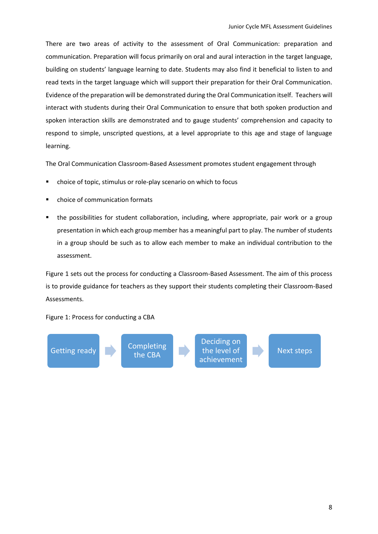There are two areas of activity to the assessment of Oral Communication: preparation and communication. Preparation will focus primarily on oral and aural interaction in the target language, building on students' language learning to date. Students may also find it beneficial to listen to and read texts in the target language which will support their preparation for their Oral Communication. Evidence of the preparation will be demonstrated during the Oral Communication itself. Teachers will interact with students during their Oral Communication to ensure that both spoken production and spoken interaction skills are demonstrated and to gauge students' comprehension and capacity to respond to simple, unscripted questions, at a level appropriate to this age and stage of language learning.

The Oral Communication Classroom-Based Assessment promotes student engagement through

- choice of topic, stimulus or role-play scenario on which to focus
- choice of communication formats
- the possibilities for student collaboration, including, where appropriate, pair work or a group presentation in which each group member has a meaningful part to play. The number of students in a group should be such as to allow each member to make an individual contribution to the assessment.

Figure 1 sets out the process for conducting a Classroom-Based Assessment. The aim of this process is to provide guidance for teachers as they support their students completing their Classroom-Based Assessments.

Figure 1: Process for conducting a CBA

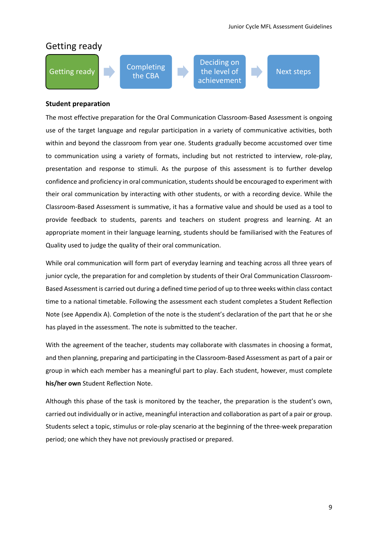### Getting ready



Deciding on the level of achievement

#### Next steps

#### **Student preparation**

The most effective preparation for the Oral Communication Classroom-Based Assessment is ongoing use of the target language and regular participation in a variety of communicative activities, both within and beyond the classroom from year one. Students gradually become accustomed over time to communication using a variety of formats, including but not restricted to interview, role-play, presentation and response to stimuli. As the purpose of this assessment is to further develop confidence and proficiency in oral communication, students should be encouraged to experiment with their oral communication by interacting with other students, or with a recording device. While the Classroom-Based Assessment is summative, it has a formative value and should be used as a tool to provide feedback to students, parents and teachers on student progress and learning. At an appropriate moment in their language learning, students should be familiarised with the Features of Quality used to judge the quality of their oral communication.

While oral communication will form part of everyday learning and teaching across all three years of junior cycle, the preparation for and completion by students of their Oral Communication Classroom-Based Assessment is carried out during a defined time period of up to three weeks within class contact time to a national timetable. Following the assessment each student completes a Student Reflection Note (see Appendix A). Completion of the note is the student's declaration of the part that he or she has played in the assessment. The note is submitted to the teacher.

With the agreement of the teacher, students may collaborate with classmates in choosing a format, and then planning, preparing and participating in the Classroom-Based Assessment as part of a pair or group in which each member has a meaningful part to play. Each student, however, must complete **his/her own** Student Reflection Note.

Although this phase of the task is monitored by the teacher, the preparation is the student's own, carried out individually or in active, meaningful interaction and collaboration as part of a pair or group. Students select a topic, stimulus or role-play scenario at the beginning of the three-week preparation period; one which they have not previously practised or prepared.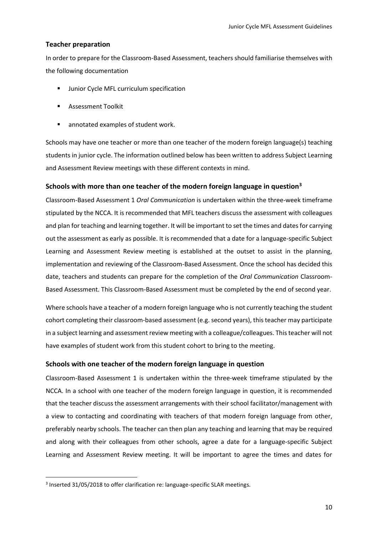#### **Teacher preparation**

In order to prepare for the Classroom-Based Assessment, teachers should familiarise themselves with the following documentation

- **■** Junior Cycle MFL curriculum specification
- Assessment Toolkit
- annotated examples of student work.

Schools may have one teacher or more than one teacher of the modern foreign language(s) teaching students in junior cycle. The information outlined below has been written to address Subject Learning and Assessment Review meetings with these different contexts in mind.

#### **Schools with more than one teacher of the modern foreign language in question<sup>3</sup>**

Classroom-Based Assessment 1 *Oral Communication* is undertaken within the three-week timeframe stipulated by the NCCA. It is recommended that MFL teachers discuss the assessment with colleagues and plan for teaching and learning together. It will be important to set the times and dates for carrying out the assessment as early as possible. It is recommended that a date for a language-specific Subject Learning and Assessment Review meeting is established at the outset to assist in the planning, implementation and reviewing of the Classroom-Based Assessment. Once the school has decided this date, teachers and students can prepare for the completion of the *Oral Communication* Classroom-Based Assessment. This Classroom-Based Assessment must be completed by the end of second year.

Where schools have a teacher of a modern foreign language who is not currently teaching the student cohort completing their classroom-based assessment (e.g. second years), this teacher may participate in a subject learning and assessment review meeting with a colleague/colleagues. This teacher will not have examples of student work from this student cohort to bring to the meeting.

#### **Schools with one teacher of the modern foreign language in question**

Classroom-Based Assessment 1 is undertaken within the three-week timeframe stipulated by the NCCA. In a school with one teacher of the modern foreign language in question, it is recommended that the teacher discuss the assessment arrangements with their school facilitator/management with a view to contacting and coordinating with teachers of that modern foreign language from other, preferably nearby schools. The teacher can then plan any teaching and learning that may be required and along with their colleagues from other schools, agree a date for a language-specific Subject Learning and Assessment Review meeting. It will be important to agree the times and dates for

**.** 

<sup>&</sup>lt;sup>3</sup> Inserted 31/05/2018 to offer clarification re: language-specific SLAR meetings.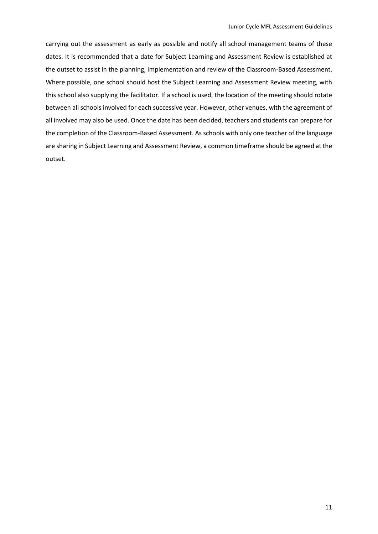carrying out the assessment as early as possible and notify all school management teams of these dates. It is recommended that a date for Subject Learning and Assessment Review is established at the outset to assist in the planning, implementation and review of the Classroom-Based Assessment. Where possible, one school should host the Subject Learning and Assessment Review meeting, with this school also supplying the facilitator. If a school is used, the location of the meeting should rotate between all schools involved for each successive year. However, other venues, with the agreement of all involved may also be used. Once the date has been decided, teachers and students can prepare for the completion of the Classroom-Based Assessment. As schools with only one teacher of the language are sharing in Subject Learning and Assessment Review, a common timeframe should be agreed at the outset.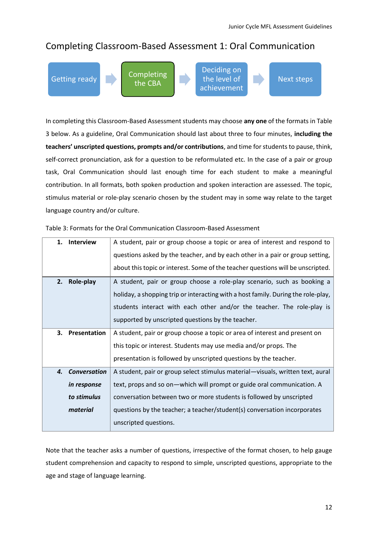### Completing Classroom-Based Assessment 1: Oral Communication

Getting ready **Completing** 

the CBA

Deciding on the level of achievement

Next steps

In completing this Classroom-Based Assessment students may choose **any one** of the formats in Table 3 below. As a guideline, Oral Communication should last about three to four minutes, **including the teachers' unscripted questions, prompts and/or contributions**, and time for students to pause, think, self-correct pronunciation, ask for a question to be reformulated etc. In the case of a pair or group task, Oral Communication should last enough time for each student to make a meaningful contribution. In all formats, both spoken production and spoken interaction are assessed. The topic, stimulus material or role-play scenario chosen by the student may in some way relate to the target language country and/or culture.

| 1. | <b>Interview</b>    | A student, pair or group choose a topic or area of interest and respond to        |
|----|---------------------|-----------------------------------------------------------------------------------|
|    |                     | questions asked by the teacher, and by each other in a pair or group setting,     |
|    |                     | about this topic or interest. Some of the teacher questions will be unscripted.   |
| 2. | Role-play           | A student, pair or group choose a role-play scenario, such as booking a           |
|    |                     | holiday, a shopping trip or interacting with a host family. During the role-play, |
|    |                     | students interact with each other and/or the teacher. The role-play is            |
|    |                     | supported by unscripted questions by the teacher.                                 |
|    | 3. Presentation     | A student, pair or group choose a topic or area of interest and present on        |
|    |                     | this topic or interest. Students may use media and/or props. The                  |
|    |                     | presentation is followed by unscripted questions by the teacher.                  |
| 4. | <b>Conversation</b> | A student, pair or group select stimulus material-visuals, written text, aural    |
|    | in response         | text, props and so on—which will prompt or guide oral communication. A            |
|    | to stimulus         | conversation between two or more students is followed by unscripted               |
|    | material            | questions by the teacher; a teacher/student(s) conversation incorporates          |
|    |                     | unscripted questions.                                                             |

#### Table 3: Formats for the Oral Communication Classroom-Based Assessment

Note that the teacher asks a number of questions, irrespective of the format chosen, to help gauge student comprehension and capacity to respond to simple, unscripted questions, appropriate to the age and stage of language learning.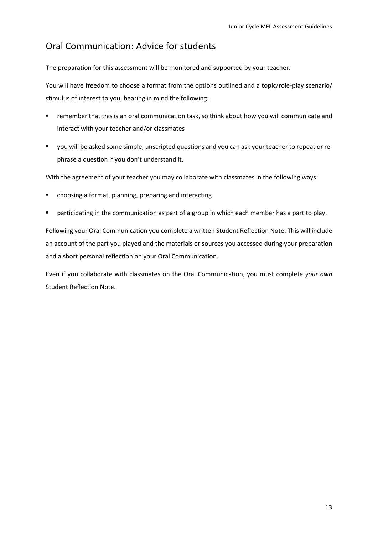### Oral Communication: Advice for students

The preparation for this assessment will be monitored and supported by your teacher.

You will have freedom to choose a format from the options outlined and a topic/role-play scenario/ stimulus of interest to you, bearing in mind the following:

- **EXECT** remember that this is an oral communication task, so think about how you will communicate and interact with your teacher and/or classmates
- you will be asked some simple, unscripted questions and you can ask your teacher to repeat or rephrase a question if you don't understand it.

With the agreement of your teacher you may collaborate with classmates in the following ways:

- choosing a format, planning, preparing and interacting
- **•** participating in the communication as part of a group in which each member has a part to play.

Following your Oral Communication you complete a written Student Reflection Note. This will include an account of the part you played and the materials or sources you accessed during your preparation and a short personal reflection on your Oral Communication.

Even if you collaborate with classmates on the Oral Communication, you must complete *your own* Student Reflection Note.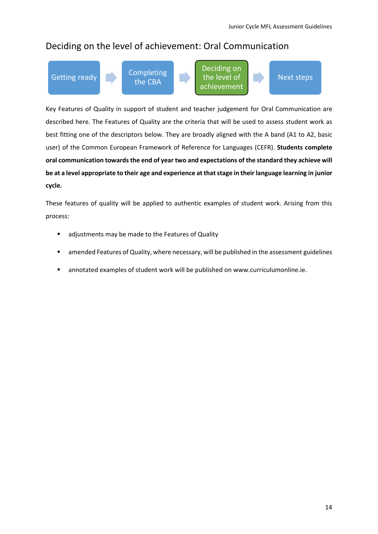### Deciding on the level of achievement: Oral Communication



the CBA

Deciding on the level of achievement



Key Features of Quality in support of student and teacher judgement for Oral Communication are described here. The Features of Quality are the criteria that will be used to assess student work as best fitting one of the descriptors below. They are broadly aligned with the A band (A1 to A2, basic user) of the Common European Framework of Reference for Languages (CEFR). **Students complete oral communication towards the end of year two and expectations of the standard they achieve will be at a level appropriate to their age and experience at that stage in their language learning in junior cycle.**

These features of quality will be applied to authentic examples of student work. Arising from this process:

- adjustments may be made to the Features of Quality
- **E** amended Features of Quality, where necessary, will be published in the assessment guidelines
- annotated examples of student work will be published o[n www.curriculumonline.ie.](http://www.curriculumonline.ie/)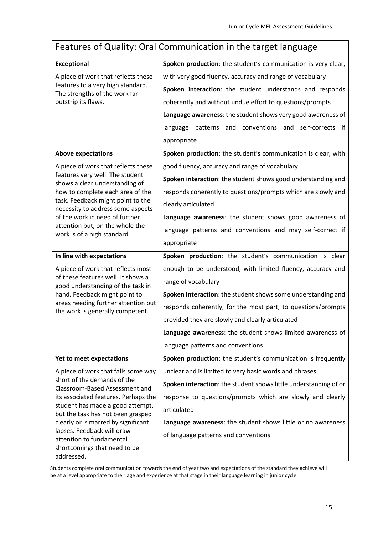## Features of Quality: Oral Communication in the target language

| <b>Exceptional</b>                                                                                                                                                                                                    | Spoken production: the student's communication is very clear,    |  |  |
|-----------------------------------------------------------------------------------------------------------------------------------------------------------------------------------------------------------------------|------------------------------------------------------------------|--|--|
|                                                                                                                                                                                                                       |                                                                  |  |  |
| A piece of work that reflects these<br>features to a very high standard.<br>The strengths of the work far<br>outstrip its flaws.                                                                                      | with very good fluency, accuracy and range of vocabulary         |  |  |
|                                                                                                                                                                                                                       | Spoken interaction: the student understands and responds         |  |  |
|                                                                                                                                                                                                                       | coherently and without undue effort to questions/prompts         |  |  |
|                                                                                                                                                                                                                       | Language awareness: the student shows very good awareness of     |  |  |
|                                                                                                                                                                                                                       | patterns and conventions and self-corrects<br>language<br>if     |  |  |
|                                                                                                                                                                                                                       | appropriate                                                      |  |  |
| <b>Above expectations</b>                                                                                                                                                                                             | Spoken production: the student's communication is clear, with    |  |  |
| A piece of work that reflects these                                                                                                                                                                                   | good fluency, accuracy and range of vocabulary                   |  |  |
| features very well. The student<br>shows a clear understanding of                                                                                                                                                     | Spoken interaction: the student shows good understanding and     |  |  |
| how to complete each area of the                                                                                                                                                                                      | responds coherently to questions/prompts which are slowly and    |  |  |
| task. Feedback might point to the<br>necessity to address some aspects                                                                                                                                                | clearly articulated                                              |  |  |
| of the work in need of further                                                                                                                                                                                        | Language awareness: the student shows good awareness of          |  |  |
| attention but, on the whole the<br>work is of a high standard.                                                                                                                                                        | language patterns and conventions and may self-correct if        |  |  |
|                                                                                                                                                                                                                       | appropriate                                                      |  |  |
| In line with expectations                                                                                                                                                                                             | Spoken production: the student's communication is clear          |  |  |
| A piece of work that reflects most                                                                                                                                                                                    | enough to be understood, with limited fluency, accuracy and      |  |  |
| of these features well. It shows a<br>good understanding of the task in                                                                                                                                               | range of vocabulary                                              |  |  |
| hand. Feedback might point to                                                                                                                                                                                         | Spoken interaction: the student shows some understanding and     |  |  |
| areas needing further attention but<br>the work is generally competent.                                                                                                                                               | responds coherently, for the most part, to questions/prompts     |  |  |
|                                                                                                                                                                                                                       | provided they are slowly and clearly articulated                 |  |  |
|                                                                                                                                                                                                                       | Language awareness: the student shows limited awareness of       |  |  |
|                                                                                                                                                                                                                       | language patterns and conventions                                |  |  |
| Yet to meet expectations                                                                                                                                                                                              | Spoken production: the student's communication is frequently     |  |  |
| A piece of work that falls some way                                                                                                                                                                                   | unclear and is limited to very basic words and phrases           |  |  |
| short of the demands of the<br>Classroom-Based Assessment and<br>its associated features. Perhaps the<br>student has made a good attempt,<br>but the task has not been grasped<br>clearly or is marred by significant | Spoken interaction: the student shows little understanding of or |  |  |
|                                                                                                                                                                                                                       | response to questions/prompts which are slowly and clearly       |  |  |
|                                                                                                                                                                                                                       | articulated                                                      |  |  |
|                                                                                                                                                                                                                       | Language awareness: the student shows little or no awareness     |  |  |
| lapses. Feedback will draw<br>attention to fundamental                                                                                                                                                                | of language patterns and conventions                             |  |  |
| shortcomings that need to be                                                                                                                                                                                          |                                                                  |  |  |
| addressed.                                                                                                                                                                                                            |                                                                  |  |  |

Students complete oral communication towards the end of year two and expectations of the standard they achieve will be at a level appropriate to their age and experience at that stage in their language learning in junior cycle.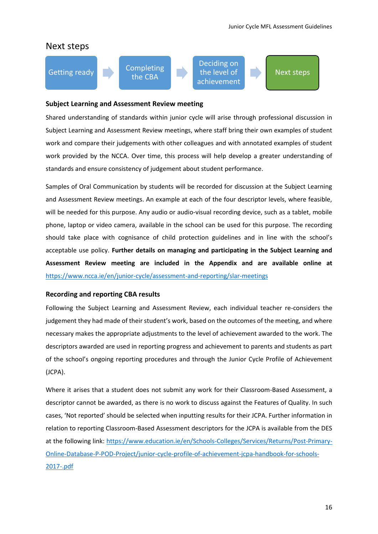



# Next steps

#### **Subject Learning and Assessment Review meeting**

Shared understanding of standards within junior cycle will arise through professional discussion in Subject Learning and Assessment Review meetings, where staff bring their own examples of student work and compare their judgements with other colleagues and with annotated examples of student work provided by the NCCA. Over time, this process will help develop a greater understanding of standards and ensure consistency of judgement about student performance.

Samples of Oral Communication by students will be recorded for discussion at the Subject Learning and Assessment Review meetings. An example at each of the four descriptor levels, where feasible, will be needed for this purpose. Any audio or audio-visual recording device, such as a tablet, mobile phone, laptop or video camera, available in the school can be used for this purpose. The recording should take place with cognisance of child protection guidelines and in line with the school's acceptable use policy. **Further details on managing and participating in the Subject Learning and Assessment Review meeting are included in the Appendix and are available online at**  <https://www.ncca.ie/en/junior-cycle/assessment-and-reporting/slar-meetings>

#### **Recording and reporting CBA results**

Following the Subject Learning and Assessment Review, each individual teacher re-considers the judgement they had made of their student's work, based on the outcomes of the meeting, and where necessary makes the appropriate adjustments to the level of achievement awarded to the work. The descriptors awarded are used in reporting progress and achievement to parents and students as part of the school's ongoing reporting procedures and through the Junior Cycle Profile of Achievement (JCPA).

Where it arises that a student does not submit any work for their Classroom-Based Assessment, a descriptor cannot be awarded, as there is no work to discuss against the Features of Quality. In such cases, 'Not reported' should be selected when inputting results for their JCPA. Further information in relation to reporting Classroom-Based Assessment descriptors for the JCPA is available from the DES at the following link: [https://www.education.ie/en/Schools-Colleges/Services/Returns/Post-Primary-](https://www.education.ie/en/Schools-Colleges/Services/Returns/Post-Primary-Online-Database-P-POD-Project/junior-cycle-profile-of-achievement-jcpa-handbook-for-schools-2017-.pdf)[Online-Database-P-POD-Project/junior-cycle-profile-of-achievement-jcpa-handbook-for-schools-](https://www.education.ie/en/Schools-Colleges/Services/Returns/Post-Primary-Online-Database-P-POD-Project/junior-cycle-profile-of-achievement-jcpa-handbook-for-schools-2017-.pdf)[2017-.pdf](https://www.education.ie/en/Schools-Colleges/Services/Returns/Post-Primary-Online-Database-P-POD-Project/junior-cycle-profile-of-achievement-jcpa-handbook-for-schools-2017-.pdf)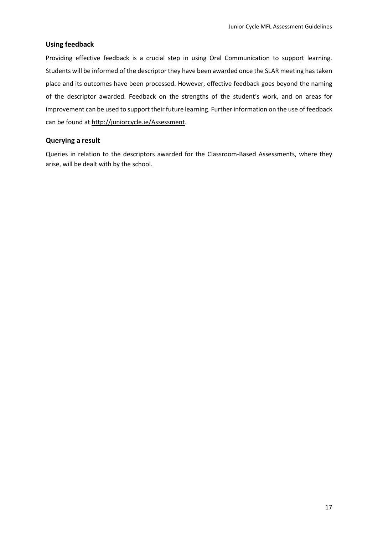#### **Using feedback**

Providing effective feedback is a crucial step in using Oral Communication to support learning. Students will be informed of the descriptor they have been awarded once the SLAR meeting has taken place and its outcomes have been processed. However, effective feedback goes beyond the naming of the descriptor awarded. Feedback on the strengths of the student's work, and on areas for improvement can be used to support their future learning. Further information on the use of feedback can be found at [http://juniorcycle.ie/Assessment.](http://juniorcycle.ie/Assessment)

#### **Querying a result**

Queries in relation to the descriptors awarded for the Classroom-Based Assessments, where they arise, will be dealt with by the school.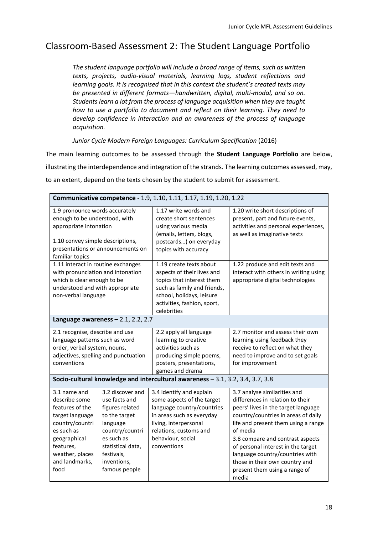### Classroom-Based Assessment 2: The Student Language Portfolio

*The student language portfolio will include a broad range of items, such as written texts, projects, audio-visual materials, learning logs, student reflections and learning goals. It is recognised that in this context the student's created texts may be presented in different formats—handwritten, digital, multi-modal, and so on. Students learn a lot from the process of language acquisition when they are taught how to use a portfolio to document and reflect on their learning. They need to develop confidence in interaction and an awareness of the process of language acquisition.*

*Junior Cycle Modern Foreign Languages: Curriculum Specification* (2016)

The main learning outcomes to be assessed through the **Student Language Portfolio** are below, illustrating the interdependence and integration of the strands. The learning outcomes assessed, may, to an extent, depend on the texts chosen by the student to submit for assessment.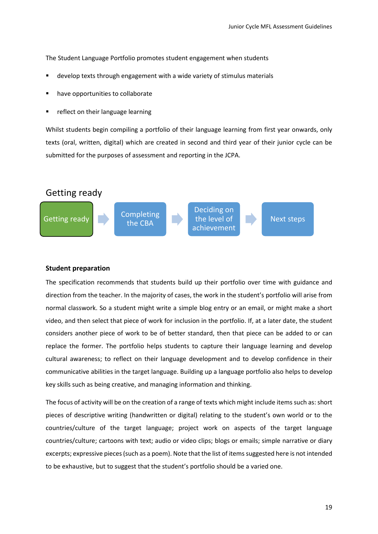The Student Language Portfolio promotes student engagement when students

- develop texts through engagement with a wide variety of stimulus materials
- have opportunities to collaborate
- reflect on their language learning

Whilst students begin compiling a portfolio of their language learning from first year onwards, only texts (oral, written, digital) which are created in second and third year of their junior cycle can be submitted for the purposes of assessment and reporting in the JCPA.



#### **Student preparation**

The specification recommends that students build up their portfolio over time with guidance and direction from the teacher. In the majority of cases, the work in the student's portfolio will arise from normal classwork. So a student might write a simple blog entry or an email, or might make a short video, and then select that piece of work for inclusion in the portfolio. If, at a later date, the student considers another piece of work to be of better standard, then that piece can be added to or can replace the former. The portfolio helps students to capture their language learning and develop cultural awareness; to reflect on their language development and to develop confidence in their communicative abilities in the target language. Building up a language portfolio also helps to develop key skills such as being creative, and managing information and thinking.

The focus of activity will be on the creation of a range of texts which might include items such as: short pieces of descriptive writing (handwritten or digital) relating to the student's own world or to the countries/culture of the target language; project work on aspects of the target language countries/culture; cartoons with text; audio or video clips; blogs or emails; simple narrative or diary excerpts; expressive pieces (such as a poem). Note that the list of items suggested here is not intended to be exhaustive, but to suggest that the student's portfolio should be a varied one.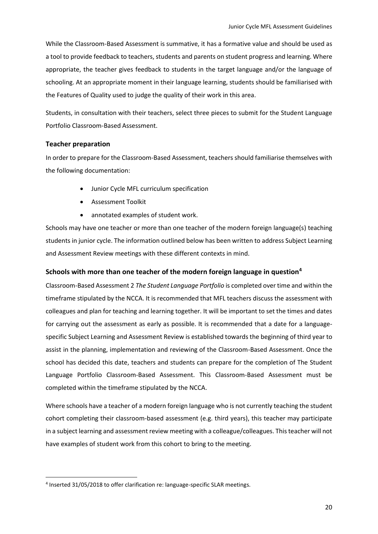While the Classroom-Based Assessment is summative, it has a formative value and should be used as a tool to provide feedback to teachers, students and parents on student progress and learning. Where appropriate, the teacher gives feedback to students in the target language and/or the language of schooling. At an appropriate moment in their language learning, students should be familiarised with the Features of Quality used to judge the quality of their work in this area.

Students, in consultation with their teachers, select three pieces to submit for the Student Language Portfolio Classroom-Based Assessment.

#### **Teacher preparation**

**.** 

In order to prepare for the Classroom-Based Assessment, teachers should familiarise themselves with the following documentation:

- Junior Cycle MFL curriculum specification
- Assessment Toolkit
- annotated examples of student work.

Schools may have one teacher or more than one teacher of the modern foreign language(s) teaching students in junior cycle. The information outlined below has been written to address Subject Learning and Assessment Review meetings with these different contexts in mind.

#### **Schools with more than one teacher of the modern foreign language in question<sup>4</sup>**

Classroom-Based Assessment 2 *The Student Language Portfolio* is completed over time and within the timeframe stipulated by the NCCA. It is recommended that MFL teachers discuss the assessment with colleagues and plan for teaching and learning together. It will be important to set the times and dates for carrying out the assessment as early as possible. It is recommended that a date for a languagespecific Subject Learning and Assessment Review is established towards the beginning of third year to assist in the planning, implementation and reviewing of the Classroom-Based Assessment. Once the school has decided this date, teachers and students can prepare for the completion of The Student Language Portfolio Classroom-Based Assessment. This Classroom-Based Assessment must be completed within the timeframe stipulated by the NCCA.

Where schools have a teacher of a modern foreign language who is not currently teaching the student cohort completing their classroom-based assessment (e.g. third years), this teacher may participate in a subject learning and assessment review meeting with a colleague/colleagues. This teacher will not have examples of student work from this cohort to bring to the meeting.

<sup>&</sup>lt;sup>4</sup> Inserted 31/05/2018 to offer clarification re: language-specific SLAR meetings.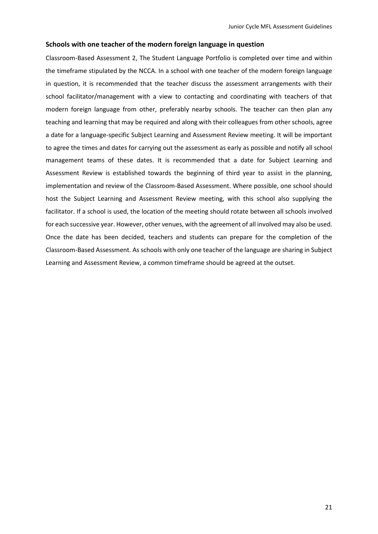#### **Schools with one teacher of the modern foreign language in question**

Classroom-Based Assessment 2, The Student Language Portfolio is completed over time and within the timeframe stipulated by the NCCA. In a school with one teacher of the modern foreign language in question, it is recommended that the teacher discuss the assessment arrangements with their school facilitator/management with a view to contacting and coordinating with teachers of that modern foreign language from other, preferably nearby schools. The teacher can then plan any teaching and learning that may be required and along with their colleagues from other schools, agree a date for a language-specific Subject Learning and Assessment Review meeting. It will be important to agree the times and dates for carrying out the assessment as early as possible and notify all school management teams of these dates. It is recommended that a date for Subject Learning and Assessment Review is established towards the beginning of third year to assist in the planning, implementation and review of the Classroom-Based Assessment. Where possible, one school should host the Subject Learning and Assessment Review meeting, with this school also supplying the facilitator. If a school is used, the location of the meeting should rotate between all schools involved for each successive year. However, other venues, with the agreement of all involved may also be used. Once the date has been decided, teachers and students can prepare for the completion of the Classroom-Based Assessment. As schools with only one teacher of the language are sharing in Subject Learning and Assessment Review, a common timeframe should be agreed at the outset.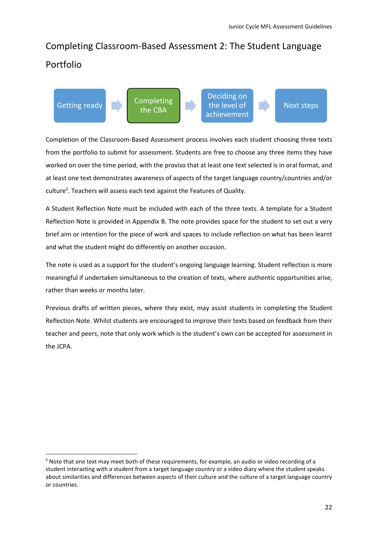## Completing Classroom-Based Assessment 2: The Student Language Portfolio



Completion of the Classroom-Based Assessment process involves each student choosing three texts from the portfolio to submit for assessment. Students are free to choose any three items they have worked on over the time period, with the proviso that at least one text selected is in oral format, and at least one text demonstrates awareness of aspects of the target language country/countries and/or culture<sup>5</sup>. Teachers will assess each text against the Features of Quality.

A Student Reflection Note must be included with each of the three texts. A template for a Student Reflection Note is provided in Appendix B. The note provides space for the student to set out a very brief aim or intention for the piece of work and spaces to include reflection on what has been learnt and what the student might do differently on another occasion.

The note is used as a support for the student's ongoing language learning. Student reflection is more meaningful if undertaken simultaneous to the creation of texts, where authentic opportunities arise, rather than weeks or months later.

Previous drafts of written pieces, where they exist, may assist students in completing the Student Reflection Note. Whilst students are encouraged to improve their texts based on feedback from their teacher and peers, note that only work which is the student's own can be accepted for assessment in the JCPA.

 $\overline{\phantom{a}}$ 

<sup>5</sup> Note that one text may meet both of these requirements, for example, an audio or video recording of a student interacting with a student from a target language country or a video diary where the student speaks about similarities and differences between aspects of their culture and the culture of a target language country or countries.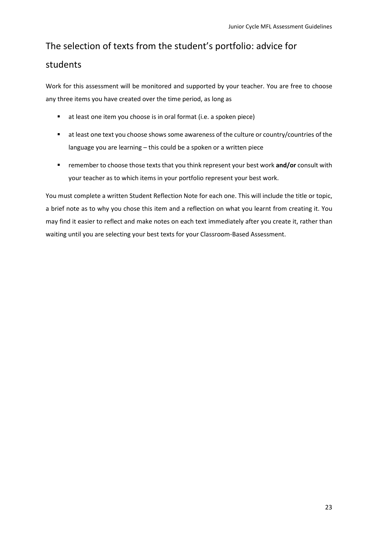### The selection of texts from the student's portfolio: advice for

### students

Work for this assessment will be monitored and supported by your teacher. You are free to choose any three items you have created over the time period, as long as

- at least one item you choose is in oral format (i.e. a spoken piece)
- at least one text you choose shows some awareness of the culture or country/countries of the language you are learning – this could be a spoken or a written piece
- **EXECT** remember to choose those texts that you think represent your best work and/or consult with your teacher as to which items in your portfolio represent your best work.

You must complete a written Student Reflection Note for each one. This will include the title or topic, a brief note as to why you chose this item and a reflection on what you learnt from creating it. You may find it easier to reflect and make notes on each text immediately after you create it, rather than waiting until you are selecting your best texts for your Classroom-Based Assessment.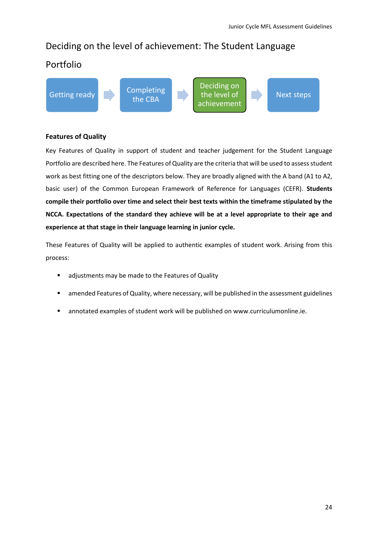### Deciding on the level of achievement: The Student Language

### Portfolio

Getting ready **Completing** 

the CBA

Deciding on the level of achievement

Next steps

#### **Features of Quality**

Key Features of Quality in support of student and teacher judgement for the Student Language Portfolio are described here. The Features of Quality are the criteria that will be used to assess student work as best fitting one of the descriptors below. They are broadly aligned with the A band (A1 to A2, basic user) of the Common European Framework of Reference for Languages (CEFR). **Students compile their portfolio over time and select their best texts within the timeframe stipulated by the NCCA. Expectations of the standard they achieve will be at a level appropriate to their age and experience at that stage in their language learning in junior cycle.**

These Features of Quality will be applied to authentic examples of student work. Arising from this process:

- adjustments may be made to the Features of Quality
- amended Features of Quality, where necessary, will be published in the assessment guidelines
- annotated examples of student work will be published o[n www.curriculumonline.ie.](http://www.curriculumonline.ie/)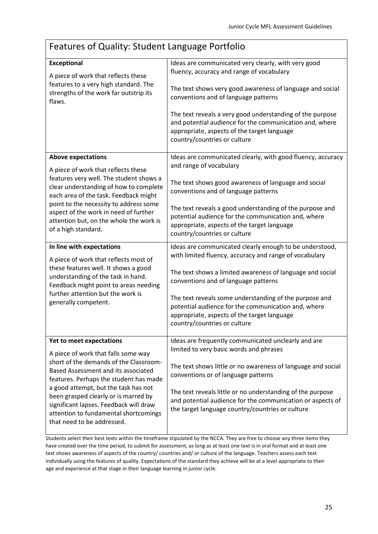## Features of Quality: Student Language Portfolio

| <b>Exceptional</b>                                                                                                                                                                                                                                                                                                                                              | Ideas are communicated very clearly, with very good<br>fluency, accuracy and range of vocabulary                                                                                                                                                                                                                               |
|-----------------------------------------------------------------------------------------------------------------------------------------------------------------------------------------------------------------------------------------------------------------------------------------------------------------------------------------------------------------|--------------------------------------------------------------------------------------------------------------------------------------------------------------------------------------------------------------------------------------------------------------------------------------------------------------------------------|
| A piece of work that reflects these<br>features to a very high standard. The<br>strengths of the work far outstrip its<br>flaws.                                                                                                                                                                                                                                | The text shows very good awareness of language and social<br>conventions and of language patterns                                                                                                                                                                                                                              |
|                                                                                                                                                                                                                                                                                                                                                                 | The text reveals a very good understanding of the purpose<br>and potential audience for the communication and, where<br>appropriate, aspects of the target language<br>country/countries or culture                                                                                                                            |
| <b>Above expectations</b>                                                                                                                                                                                                                                                                                                                                       | Ideas are communicated clearly, with good fluency, accuracy<br>and range of vocabulary                                                                                                                                                                                                                                         |
| A piece of work that reflects these<br>features very well. The student shows a<br>clear understanding of how to complete<br>each area of the task. Feedback might                                                                                                                                                                                               | The text shows good awareness of language and social<br>conventions and of language patterns                                                                                                                                                                                                                                   |
| point to the necessity to address some<br>aspect of the work in need of further<br>attention but, on the whole the work is<br>of a high standard.                                                                                                                                                                                                               | The text reveals a good understanding of the purpose and<br>potential audience for the communication and, where<br>appropriate, aspects of the target language<br>country/countries or culture                                                                                                                                 |
|                                                                                                                                                                                                                                                                                                                                                                 |                                                                                                                                                                                                                                                                                                                                |
| In line with expectations                                                                                                                                                                                                                                                                                                                                       | Ideas are communicated clearly enough to be understood,<br>with limited fluency, accuracy and range of vocabulary                                                                                                                                                                                                              |
| A piece of work that reflects most of<br>these features well. It shows a good<br>understanding of the task in hand.<br>Feedback might point to areas needing                                                                                                                                                                                                    | The text shows a limited awareness of language and social<br>conventions and of language patterns                                                                                                                                                                                                                              |
| further attention but the work is<br>generally competent.                                                                                                                                                                                                                                                                                                       | The text reveals some understanding of the purpose and<br>potential audience for the communication and, where<br>appropriate, aspects of the target language<br>country/countries or culture                                                                                                                                   |
| Yet to meet expectations                                                                                                                                                                                                                                                                                                                                        | Ideas are frequently communicated unclearly and are                                                                                                                                                                                                                                                                            |
| A piece of work that falls some way<br>short of the demands of the Classroom-<br>Based Assessment and its associated<br>features. Perhaps the student has made<br>a good attempt, but the task has not<br>been grasped clearly or is marred by<br>significant lapses. Feedback will draw<br>attention to fundamental shortcomings<br>that need to be addressed. | limited to very basic words and phrases<br>The text shows little or no awareness of language and social<br>conventions or of language patterns<br>The text reveals little or no understanding of the purpose<br>and potential audience for the communication or aspects of<br>the target language country/countries or culture |

Students select their best texts within the timeframe stipulated by the NCCA. They are free to choose any three items they have created over the time period, to submit for assessment, as long as at least one text is in oral format and at least one text shows awareness of aspects of the country/ countries and/ or culture of the language. Teachers assess each text individually using the features of quality. Expectations of the standard they achieve will be at a level appropriate to their age and experience at that stage in their language learning in junior cycle.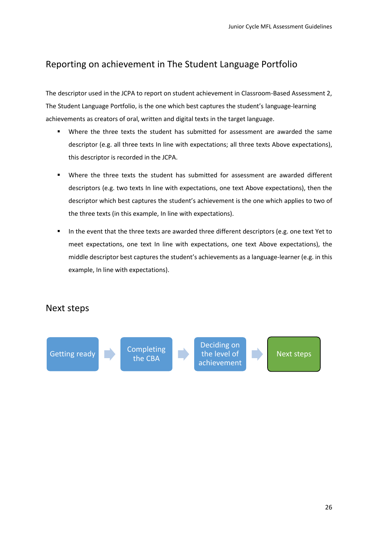### Reporting on achievement in The Student Language Portfolio

The descriptor used in the JCPA to report on student achievement in Classroom-Based Assessment 2, The Student Language Portfolio, is the one which best captures the student's language-learning achievements as creators of oral, written and digital texts in the target language.

- Where the three texts the student has submitted for assessment are awarded the same descriptor (e.g. all three texts In line with expectations; all three texts Above expectations), this descriptor is recorded in the JCPA.
- Where the three texts the student has submitted for assessment are awarded different descriptors (e.g. two texts In line with expectations, one text Above expectations), then the descriptor which best captures the student's achievement is the one which applies to two of the three texts (in this example, In line with expectations).
- In the event that the three texts are awarded three different descriptors (e.g. one text Yet to meet expectations, one text In line with expectations, one text Above expectations), the middle descriptor best captures the student's achievements as a language-learner (e.g. in this example, In line with expectations).

### Next steps

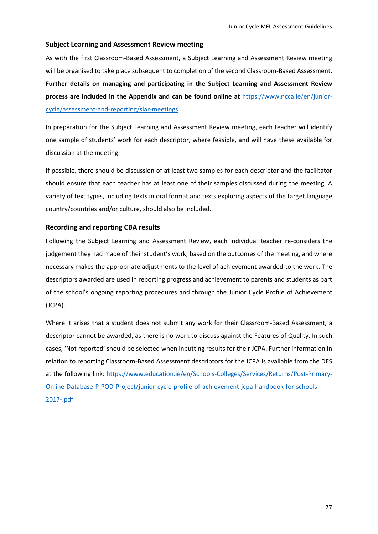#### **Subject Learning and Assessment Review meeting**

As with the first Classroom-Based Assessment, a Subject Learning and Assessment Review meeting will be organised to take place subsequent to completion of the second Classroom-Based Assessment. **Further details on managing and participating in the Subject Learning and Assessment Review process are included in the Appendix and can be found online at** [https://www.ncca.ie/en/junior](https://www.ncca.ie/en/junior-cycle/assessment-and-reporting/slar-meetings)[cycle/assessment-and-reporting/slar-meetings](https://www.ncca.ie/en/junior-cycle/assessment-and-reporting/slar-meetings)

In preparation for the Subject Learning and Assessment Review meeting, each teacher will identify one sample of students' work for each descriptor, where feasible, and will have these available for discussion at the meeting.

If possible, there should be discussion of at least two samples for each descriptor and the facilitator should ensure that each teacher has at least one of their samples discussed during the meeting. A variety of text types, including texts in oral format and texts exploring aspects of the target language country/countries and/or culture, should also be included.

#### **Recording and reporting CBA results**

Following the Subject Learning and Assessment Review, each individual teacher re-considers the judgement they had made of their student's work, based on the outcomes of the meeting, and where necessary makes the appropriate adjustments to the level of achievement awarded to the work. The descriptors awarded are used in reporting progress and achievement to parents and students as part of the school's ongoing reporting procedures and through the Junior Cycle Profile of Achievement (JCPA).

Where it arises that a student does not submit any work for their Classroom-Based Assessment, a descriptor cannot be awarded, as there is no work to discuss against the Features of Quality. In such cases, 'Not reported' should be selected when inputting results for their JCPA. Further information in relation to reporting Classroom-Based Assessment descriptors for the JCPA is available from the DES at the following link: [https://www.education.ie/en/Schools-Colleges/Services/Returns/Post-Primary-](https://www.education.ie/en/Schools-Colleges/Services/Returns/Post-Primary-Online-Database-P-POD-Project/junior-cycle-profile-of-achievement-jcpa-handbook-for-schools-2017-.pdf)[Online-Database-P-POD-Project/junior-cycle-profile-of-achievement-jcpa-handbook-for-schools-](https://www.education.ie/en/Schools-Colleges/Services/Returns/Post-Primary-Online-Database-P-POD-Project/junior-cycle-profile-of-achievement-jcpa-handbook-for-schools-2017-.pdf)[2017-.pdf](https://www.education.ie/en/Schools-Colleges/Services/Returns/Post-Primary-Online-Database-P-POD-Project/junior-cycle-profile-of-achievement-jcpa-handbook-for-schools-2017-.pdf)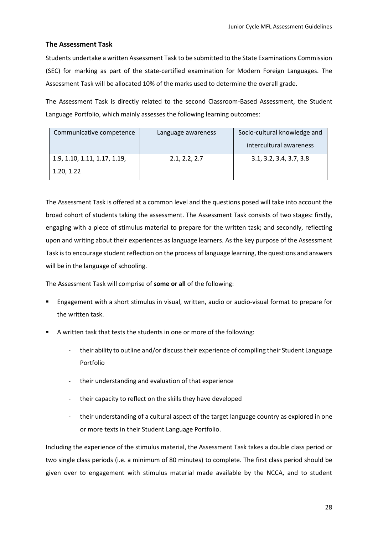#### **The Assessment Task**

Students undertake a written Assessment Task to be submitted to the State Examinations Commission (SEC) for marking as part of the state-certified examination for Modern Foreign Languages. The Assessment Task will be allocated 10% of the marks used to determine the overall grade.

The Assessment Task is directly related to the second Classroom-Based Assessment, the Student Language Portfolio, which mainly assesses the following learning outcomes:

| Communicative competence     | Language awareness | Socio-cultural knowledge and |
|------------------------------|--------------------|------------------------------|
|                              |                    | intercultural awareness      |
| 1.9, 1.10, 1.11, 1.17, 1.19, | 2.1, 2.2, 2.7      | 3.1, 3.2, 3.4, 3.7, 3.8      |
| 1.20, 1.22                   |                    |                              |

The Assessment Task is offered at a common level and the questions posed will take into account the broad cohort of students taking the assessment. The Assessment Task consists of two stages: firstly, engaging with a piece of stimulus material to prepare for the written task; and secondly, reflecting upon and writing about their experiences as language learners. As the key purpose of the Assessment Task is to encourage student reflection on the process of language learning, the questions and answers will be in the language of schooling.

The Assessment Task will comprise of **some or all** of the following:

- Engagement with a short stimulus in visual, written, audio or audio-visual format to prepare for the written task.
- A written task that tests the students in one or more of the following:
	- their ability to outline and/or discuss their experience of compiling their Student Language Portfolio
	- their understanding and evaluation of that experience
	- their capacity to reflect on the skills they have developed
	- their understanding of a cultural aspect of the target language country as explored in one or more texts in their Student Language Portfolio.

Including the experience of the stimulus material, the Assessment Task takes a double class period or two single class periods (i.e. a minimum of 80 minutes) to complete. The first class period should be given over to engagement with stimulus material made available by the NCCA, and to student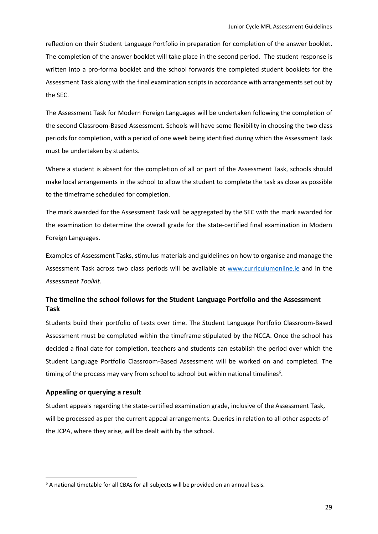reflection on their Student Language Portfolio in preparation for completion of the answer booklet. The completion of the answer booklet will take place in the second period. The student response is written into a pro-forma booklet and the school forwards the completed student booklets for the Assessment Task along with the final examination scripts in accordance with arrangements set out by the SEC.

The Assessment Task for Modern Foreign Languages will be undertaken following the completion of the second Classroom-Based Assessment. Schools will have some flexibility in choosing the two class periods for completion, with a period of one week being identified during which the Assessment Task must be undertaken by students.

Where a student is absent for the completion of all or part of the Assessment Task, schools should make local arrangements in the school to allow the student to complete the task as close as possible to the timeframe scheduled for completion.

The mark awarded for the Assessment Task will be aggregated by the SEC with the mark awarded for the examination to determine the overall grade for the state-certified final examination in Modern Foreign Languages.

Examples of Assessment Tasks, stimulus materials and guidelines on how to organise and manage the Assessment Task across two class periods will be available at [www.curriculumonline.ie](http://www.curriculumonline.ie/) and in the *Assessment Toolkit*.

#### **The timeline the school follows for the Student Language Portfolio and the Assessment Task**

Students build their portfolio of texts over time. The Student Language Portfolio Classroom-Based Assessment must be completed within the timeframe stipulated by the NCCA. Once the school has decided a final date for completion, teachers and students can establish the period over which the Student Language Portfolio Classroom-Based Assessment will be worked on and completed. The timing of the process may vary from school to school but within national timelines<sup>6</sup>.

#### **Appealing or querying a result**

**.** 

Student appeals regarding the state-certified examination grade, inclusive of the Assessment Task, will be processed as per the current appeal arrangements. Queries in relation to all other aspects of the JCPA, where they arise, will be dealt with by the school.

<sup>&</sup>lt;sup>6</sup> A national timetable for all CBAs for all subjects will be provided on an annual basis.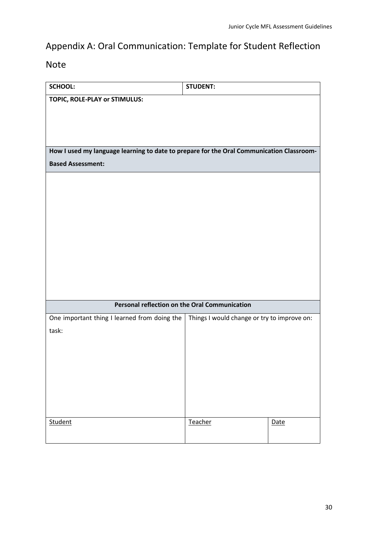## Appendix A: Oral Communication: Template for Student Reflection

Note

| <b>SCHOOL:</b>                                                                                   | <b>STUDENT:</b> |             |
|--------------------------------------------------------------------------------------------------|-----------------|-------------|
| TOPIC, ROLE-PLAY or STIMULUS:                                                                    |                 |             |
|                                                                                                  |                 |             |
|                                                                                                  |                 |             |
|                                                                                                  |                 |             |
| How I used my language learning to date to prepare for the Oral Communication Classroom-         |                 |             |
| <b>Based Assessment:</b>                                                                         |                 |             |
|                                                                                                  |                 |             |
|                                                                                                  |                 |             |
|                                                                                                  |                 |             |
|                                                                                                  |                 |             |
|                                                                                                  |                 |             |
|                                                                                                  |                 |             |
|                                                                                                  |                 |             |
|                                                                                                  |                 |             |
|                                                                                                  |                 |             |
|                                                                                                  |                 |             |
| Personal reflection on the Oral Communication                                                    |                 |             |
| One important thing I learned from doing the $\vert$ Things I would change or try to improve on: |                 |             |
| task:                                                                                            |                 |             |
|                                                                                                  |                 |             |
|                                                                                                  |                 |             |
|                                                                                                  |                 |             |
|                                                                                                  |                 |             |
|                                                                                                  |                 |             |
|                                                                                                  |                 |             |
| Student                                                                                          | Teacher         | <b>Date</b> |
|                                                                                                  |                 |             |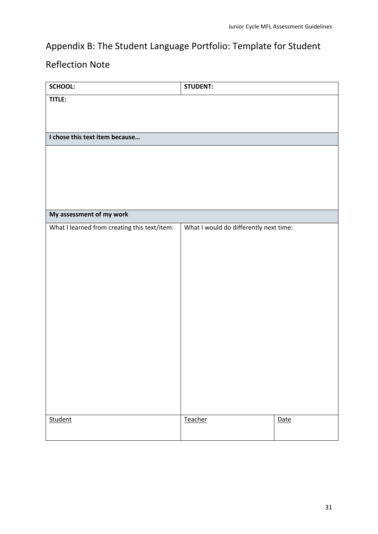## Appendix B: The Student Language Portfolio: Template for Student

## Reflection Note

| SCHOOL:                                      | <b>STUDENT:</b>                        |      |
|----------------------------------------------|----------------------------------------|------|
| TITLE:                                       |                                        |      |
|                                              |                                        |      |
|                                              |                                        |      |
| I chose this text item because               |                                        |      |
|                                              |                                        |      |
|                                              |                                        |      |
|                                              |                                        |      |
|                                              |                                        |      |
|                                              |                                        |      |
| My assessment of my work                     |                                        |      |
| What I learned from creating this text/item: | What I would do differently next time: |      |
|                                              |                                        |      |
|                                              |                                        |      |
|                                              |                                        |      |
|                                              |                                        |      |
|                                              |                                        |      |
|                                              |                                        |      |
|                                              |                                        |      |
|                                              |                                        |      |
|                                              |                                        |      |
|                                              |                                        |      |
|                                              |                                        |      |
|                                              |                                        |      |
|                                              |                                        |      |
| Student                                      | Teacher                                | Date |
|                                              |                                        |      |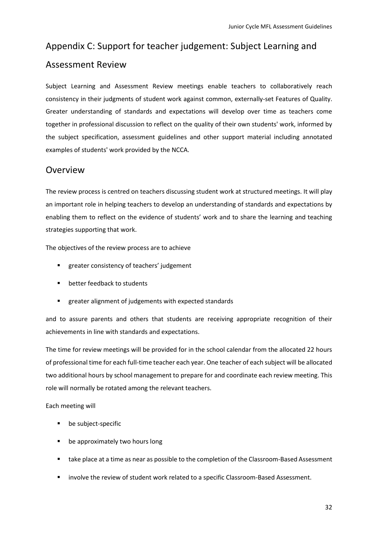## Appendix C: Support for teacher judgement: Subject Learning and Assessment Review

Subject Learning and Assessment Review meetings enable teachers to collaboratively reach consistency in their judgments of student work against common, externally-set Features of Quality. Greater understanding of standards and expectations will develop over time as teachers come together in professional discussion to reflect on the quality of their own students' work, informed by the subject specification, assessment guidelines and other support material including annotated examples of students' work provided by the NCCA.

### **Overview**

The review process is centred on teachers discussing student work at structured meetings. It will play an important role in helping teachers to develop an understanding of standards and expectations by enabling them to reflect on the evidence of students' work and to share the learning and teaching strategies supporting that work.

The objectives of the review process are to achieve

- greater consistency of teachers' judgement
- better feedback to students
- greater alignment of judgements with expected standards

and to assure parents and others that students are receiving appropriate recognition of their achievements in line with standards and expectations.

The time for review meetings will be provided for in the school calendar from the allocated 22 hours of professional time for each full-time teacher each year. One teacher of each subject will be allocated two additional hours by school management to prepare for and coordinate each review meeting. This role will normally be rotated among the relevant teachers.

Each meeting will

- be subject-specific
- be approximately two hours long
- **■** take place at a time as near as possible to the completion of the Classroom-Based Assessment
- involve the review of student work related to a specific Classroom-Based Assessment.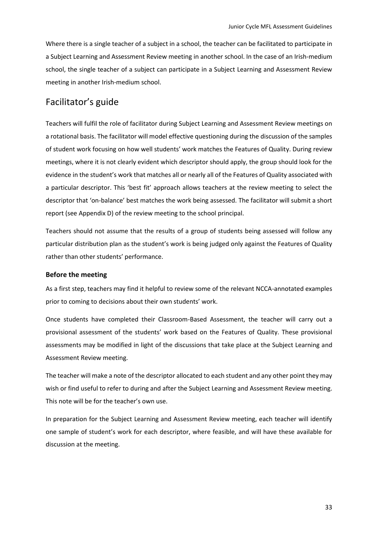Where there is a single teacher of a subject in a school, the teacher can be facilitated to participate in a Subject Learning and Assessment Review meeting in another school. In the case of an Irish-medium school, the single teacher of a subject can participate in a Subject Learning and Assessment Review meeting in another Irish-medium school.

### Facilitator's guide

Teachers will fulfil the role of facilitator during Subject Learning and Assessment Review meetings on a rotational basis. The facilitator will model effective questioning during the discussion of the samples of student work focusing on how well students' work matches the Features of Quality. During review meetings, where it is not clearly evident which descriptor should apply, the group should look for the evidence in the student's work that matches all or nearly all of the Features of Quality associated with a particular descriptor. This 'best fit' approach allows teachers at the review meeting to select the descriptor that 'on-balance' best matches the work being assessed. The facilitator will submit a short report (see Appendix D) of the review meeting to the school principal.

Teachers should not assume that the results of a group of students being assessed will follow any particular distribution plan as the student's work is being judged only against the Features of Quality rather than other students' performance.

#### **Before the meeting**

As a first step, teachers may find it helpful to review some of the relevant NCCA-annotated examples prior to coming to decisions about their own students' work.

Once students have completed their Classroom-Based Assessment, the teacher will carry out a provisional assessment of the students' work based on the Features of Quality. These provisional assessments may be modified in light of the discussions that take place at the Subject Learning and Assessment Review meeting.

The teacher will make a note of the descriptor allocated to each student and any other point they may wish or find useful to refer to during and after the Subject Learning and Assessment Review meeting. This note will be for the teacher's own use.

In preparation for the Subject Learning and Assessment Review meeting, each teacher will identify one sample of student's work for each descriptor, where feasible, and will have these available for discussion at the meeting.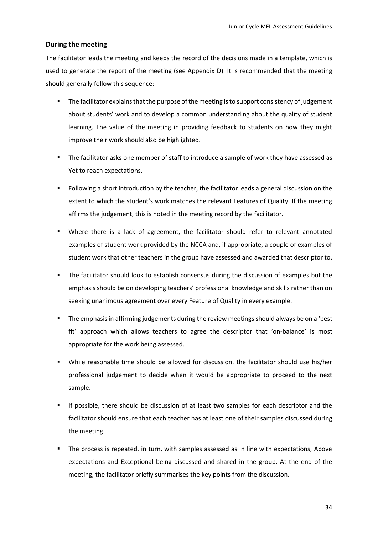#### **During the meeting**

The facilitator leads the meeting and keeps the record of the decisions made in a template, which is used to generate the report of the meeting (see Appendix D). It is recommended that the meeting should generally follow this sequence:

- The facilitator explains that the purpose of the meeting is to support consistency of judgement about students' work and to develop a common understanding about the quality of student learning. The value of the meeting in providing feedback to students on how they might improve their work should also be highlighted.
- The facilitator asks one member of staff to introduce a sample of work they have assessed as Yet to reach expectations.
- Following a short introduction by the teacher, the facilitator leads a general discussion on the extent to which the student's work matches the relevant Features of Quality. If the meeting affirms the judgement, this is noted in the meeting record by the facilitator.
- Where there is a lack of agreement, the facilitator should refer to relevant annotated examples of student work provided by the NCCA and, if appropriate, a couple of examples of student work that other teachers in the group have assessed and awarded that descriptor to.
- The facilitator should look to establish consensus during the discussion of examples but the emphasis should be on developing teachers' professional knowledge and skills rather than on seeking unanimous agreement over every Feature of Quality in every example.
- The emphasis in affirming judgements during the review meetings should always be on a 'best fit' approach which allows teachers to agree the descriptor that 'on-balance' is most appropriate for the work being assessed.
- While reasonable time should be allowed for discussion, the facilitator should use his/her professional judgement to decide when it would be appropriate to proceed to the next sample.
- If possible, there should be discussion of at least two samples for each descriptor and the facilitator should ensure that each teacher has at least one of their samples discussed during the meeting.
- The process is repeated, in turn, with samples assessed as In line with expectations, Above expectations and Exceptional being discussed and shared in the group. At the end of the meeting, the facilitator briefly summarises the key points from the discussion.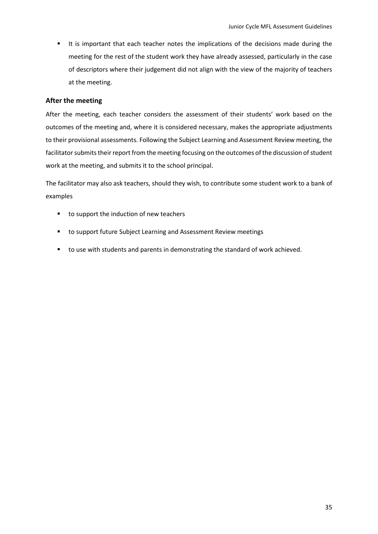▪ It is important that each teacher notes the implications of the decisions made during the meeting for the rest of the student work they have already assessed, particularly in the case of descriptors where their judgement did not align with the view of the majority of teachers at the meeting.

#### **After the meeting**

After the meeting, each teacher considers the assessment of their students' work based on the outcomes of the meeting and, where it is considered necessary, makes the appropriate adjustments to their provisional assessments. Following the Subject Learning and Assessment Review meeting, the facilitator submits their report from the meeting focusing on the outcomes of the discussion of student work at the meeting, and submits it to the school principal.

The facilitator may also ask teachers, should they wish, to contribute some student work to a bank of examples

- to support the induction of new teachers
- to support future Subject Learning and Assessment Review meetings
- to use with students and parents in demonstrating the standard of work achieved.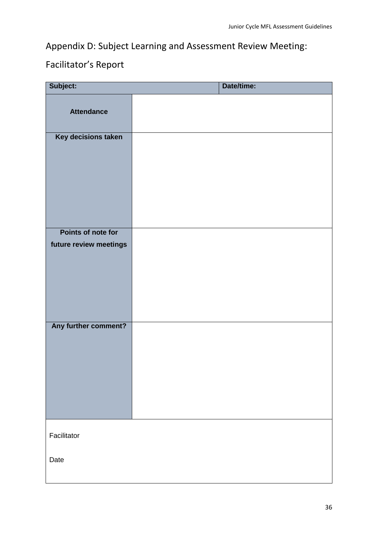## Appendix D: Subject Learning and Assessment Review Meeting:

## Facilitator's Report

| Subject:               | Date/time: |
|------------------------|------------|
| <b>Attendance</b>      |            |
| Key decisions taken    |            |
|                        |            |
|                        |            |
|                        |            |
|                        |            |
| Points of note for     |            |
| future review meetings |            |
|                        |            |
|                        |            |
|                        |            |
| Any further comment?   |            |
|                        |            |
|                        |            |
|                        |            |
|                        |            |
|                        |            |
| Facilitator            |            |
| Date                   |            |
|                        |            |